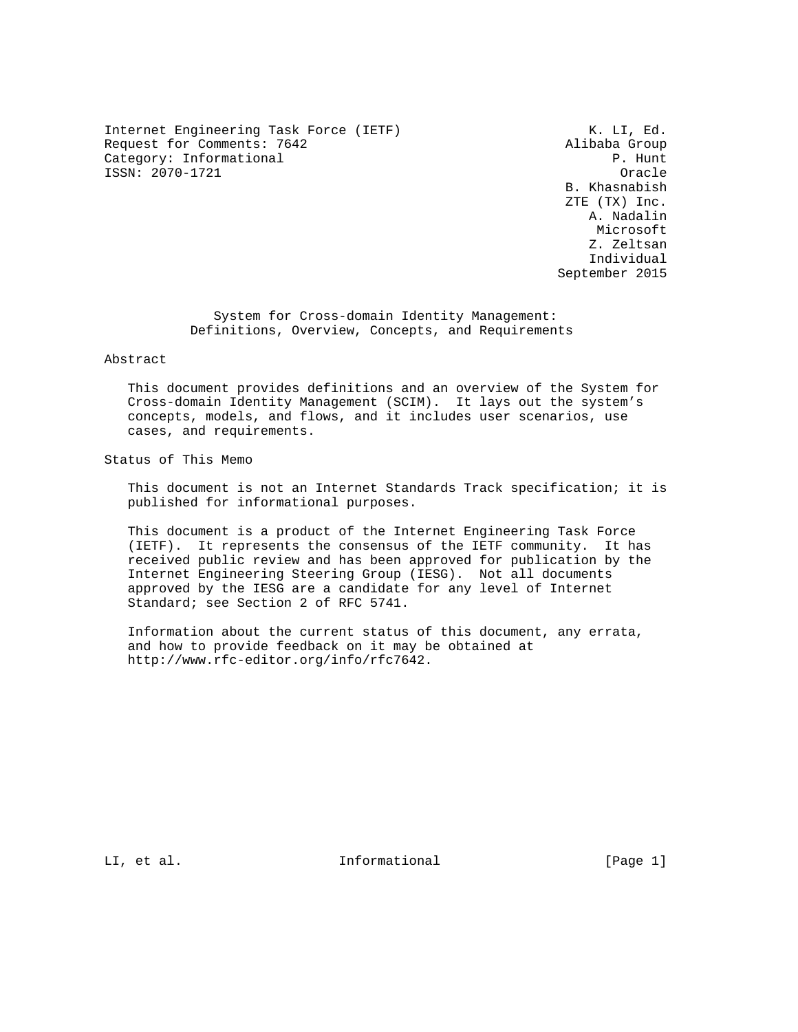Internet Engineering Task Force (IETF)  $K. LI, Ed.$ Request for Comments: 7642 Alibaba Group Category: Informational  $P$ . Hunt ISSN: 2070-1721 Oracle

 B. Khasnabish ZTE (TX) Inc. A. Nadalin Microsoft Z. Zeltsan Individual September 2015

 System for Cross-domain Identity Management: Definitions, Overview, Concepts, and Requirements

Abstract

 This document provides definitions and an overview of the System for Cross-domain Identity Management (SCIM). It lays out the system's concepts, models, and flows, and it includes user scenarios, use cases, and requirements.

Status of This Memo

 This document is not an Internet Standards Track specification; it is published for informational purposes.

 This document is a product of the Internet Engineering Task Force (IETF). It represents the consensus of the IETF community. It has received public review and has been approved for publication by the Internet Engineering Steering Group (IESG). Not all documents approved by the IESG are a candidate for any level of Internet Standard; see Section 2 of RFC 5741.

 Information about the current status of this document, any errata, and how to provide feedback on it may be obtained at http://www.rfc-editor.org/info/rfc7642.

LI, et al.  $\qquad \qquad$  Informational  $\qquad \qquad$  [Page 1]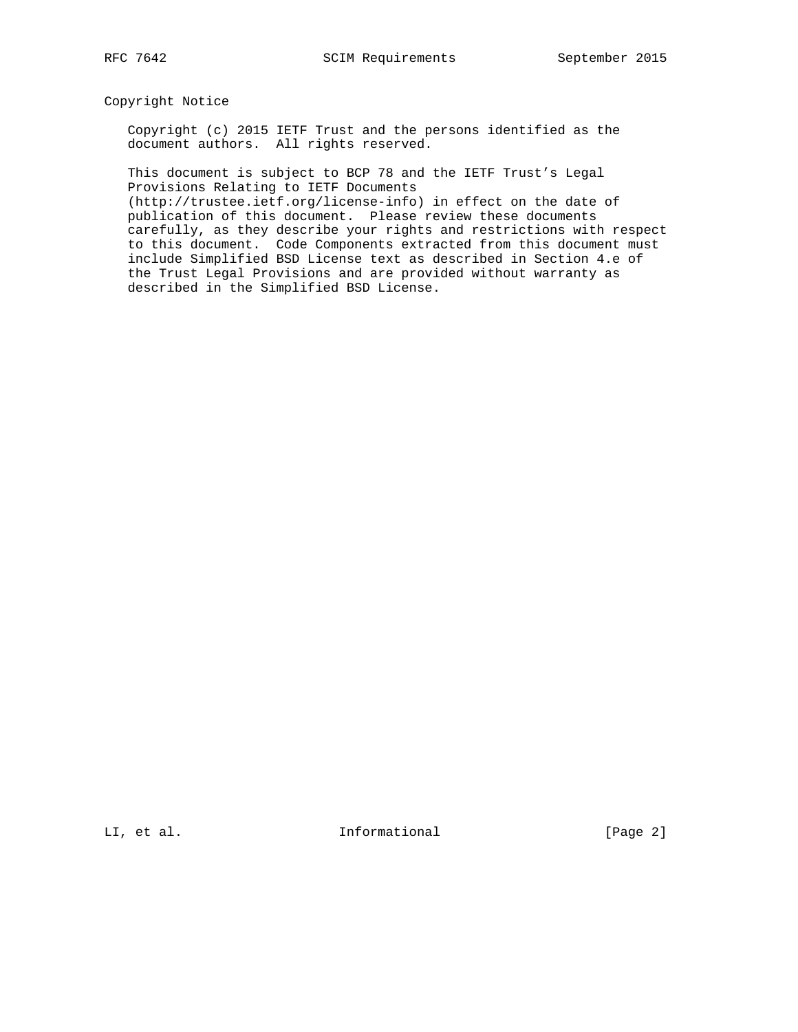Copyright Notice

 Copyright (c) 2015 IETF Trust and the persons identified as the document authors. All rights reserved.

 This document is subject to BCP 78 and the IETF Trust's Legal Provisions Relating to IETF Documents

 (http://trustee.ietf.org/license-info) in effect on the date of publication of this document. Please review these documents carefully, as they describe your rights and restrictions with respect to this document. Code Components extracted from this document must include Simplified BSD License text as described in Section 4.e of the Trust Legal Provisions and are provided without warranty as described in the Simplified BSD License.

LI, et al. 10. Informational 1. The leage 2]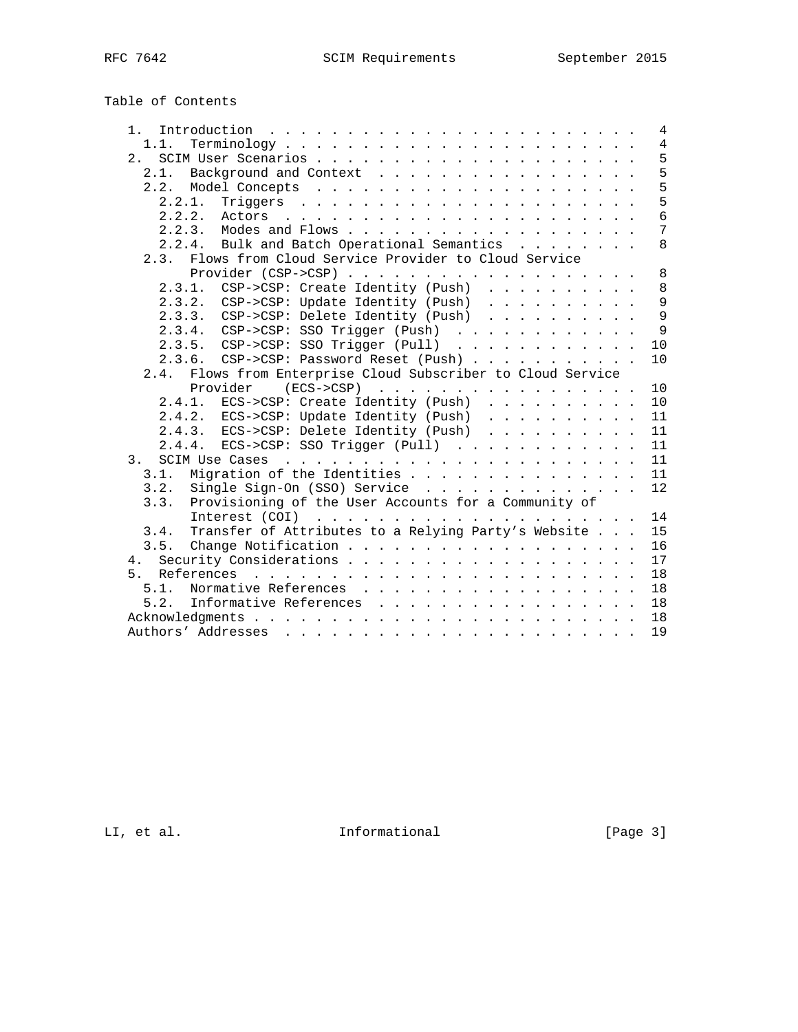# Table of Contents

| 1.                                                           | 4               |
|--------------------------------------------------------------|-----------------|
| 1.1.                                                         | $\overline{4}$  |
|                                                              | 5               |
| 2.1. Background and Context                                  | 5               |
|                                                              | 5               |
| 2.2.1.                                                       | 5               |
| $2.2.2.$ Actors                                              | $6\overline{6}$ |
|                                                              | $\overline{7}$  |
| 2.2.4. Bulk and Batch Operational Semantics                  | 8               |
| 2.3. Flows from Cloud Service Provider to Cloud Service      |                 |
|                                                              | 8               |
| 2.3.1. CSP->CSP: Create Identity (Push)                      | 8               |
| 2.3.2. CSP->CSP: Update Identity (Push)                      | 9               |
| 2.3.3. CSP->CSP: Delete Identity (Push)                      | 9               |
| 2.3.4. CSP->CSP: SSO Trigger (Push)                          | 9               |
| 2.3.5. CSP->CSP: SSO Trigger (Pull)                          | 10              |
| $CSP \rightarrow CSP$ : Password Reset (Push)<br>2.3.6.      | 10              |
| 2.4. Flows from Enterprise Cloud Subscriber to Cloud Service |                 |
| Provider<br>$(ECS->CSP)$                                     | 10              |
| $ECS->CSP: Create Identity (Push)$<br>2.4.1.                 | 10              |
| 2.4.2. ECS->CSP: Update Identity (Push)                      | 11              |
| 2.4.3. ECS->CSP: Delete Identity (Push)                      | 11              |
| $ECS$ ->CSP: SSO Trigger (Pull)<br>2.4.4.                    | 11              |
|                                                              | 11              |
| Migration of the Identities<br>3.1.                          | 11              |
| Single Sign-On (SSO) Service<br>3.2.                         | 12              |
| Provisioning of the User Accounts for a Community of<br>3.3. |                 |
|                                                              | 14              |
| Transfer of Attributes to a Relying Party's Website<br>3.4.  | 15              |
| 3.5.                                                         | 16              |
|                                                              | 17              |
| 5 <sub>1</sub>                                               | 18              |
| Normative References<br>5.1.                                 | 18              |
| 5.2. Informative References                                  | 18              |
|                                                              | 18              |
|                                                              | 19              |

LI, et al. 11 mformational [Page 3]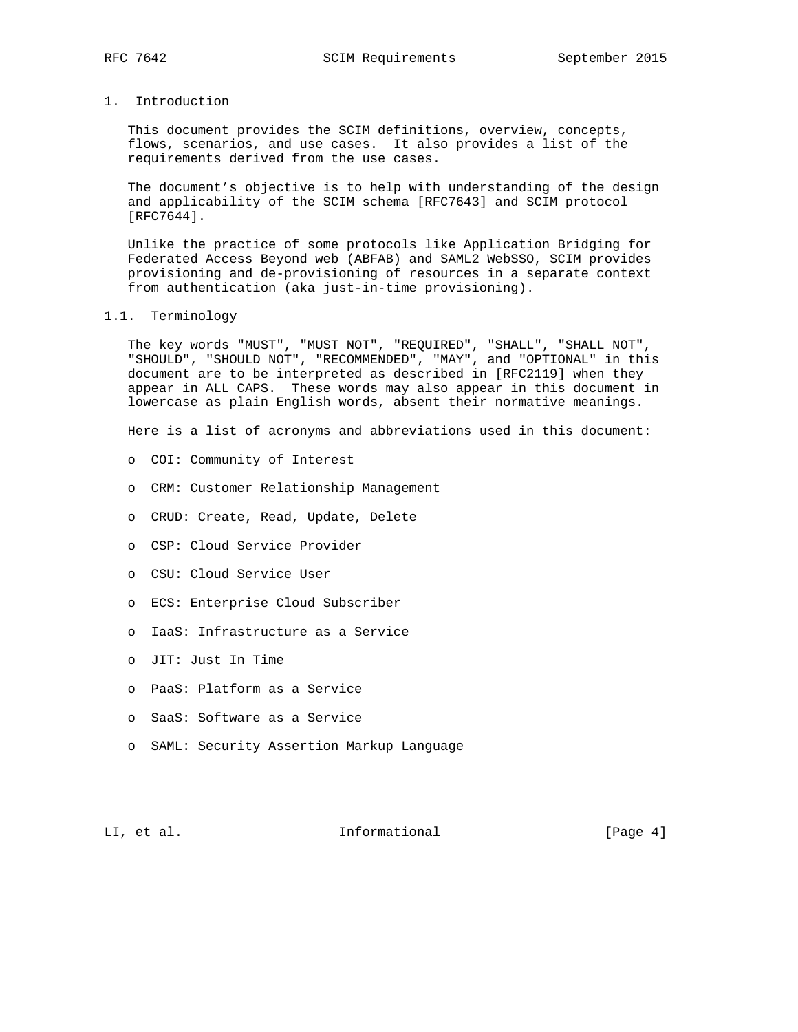- 
- 1. Introduction

 This document provides the SCIM definitions, overview, concepts, flows, scenarios, and use cases. It also provides a list of the requirements derived from the use cases.

 The document's objective is to help with understanding of the design and applicability of the SCIM schema [RFC7643] and SCIM protocol [RFC7644].

 Unlike the practice of some protocols like Application Bridging for Federated Access Beyond web (ABFAB) and SAML2 WebSSO, SCIM provides provisioning and de-provisioning of resources in a separate context from authentication (aka just-in-time provisioning).

## 1.1. Terminology

 The key words "MUST", "MUST NOT", "REQUIRED", "SHALL", "SHALL NOT", "SHOULD", "SHOULD NOT", "RECOMMENDED", "MAY", and "OPTIONAL" in this document are to be interpreted as described in [RFC2119] when they appear in ALL CAPS. These words may also appear in this document in lowercase as plain English words, absent their normative meanings.

Here is a list of acronyms and abbreviations used in this document:

- o COI: Community of Interest
- o CRM: Customer Relationship Management
- o CRUD: Create, Read, Update, Delete
- o CSP: Cloud Service Provider
- o CSU: Cloud Service User
- o ECS: Enterprise Cloud Subscriber
- o IaaS: Infrastructure as a Service
- o JIT: Just In Time
- o PaaS: Platform as a Service
- o SaaS: Software as a Service
- o SAML: Security Assertion Markup Language

LI, et al. Informational [Page 4]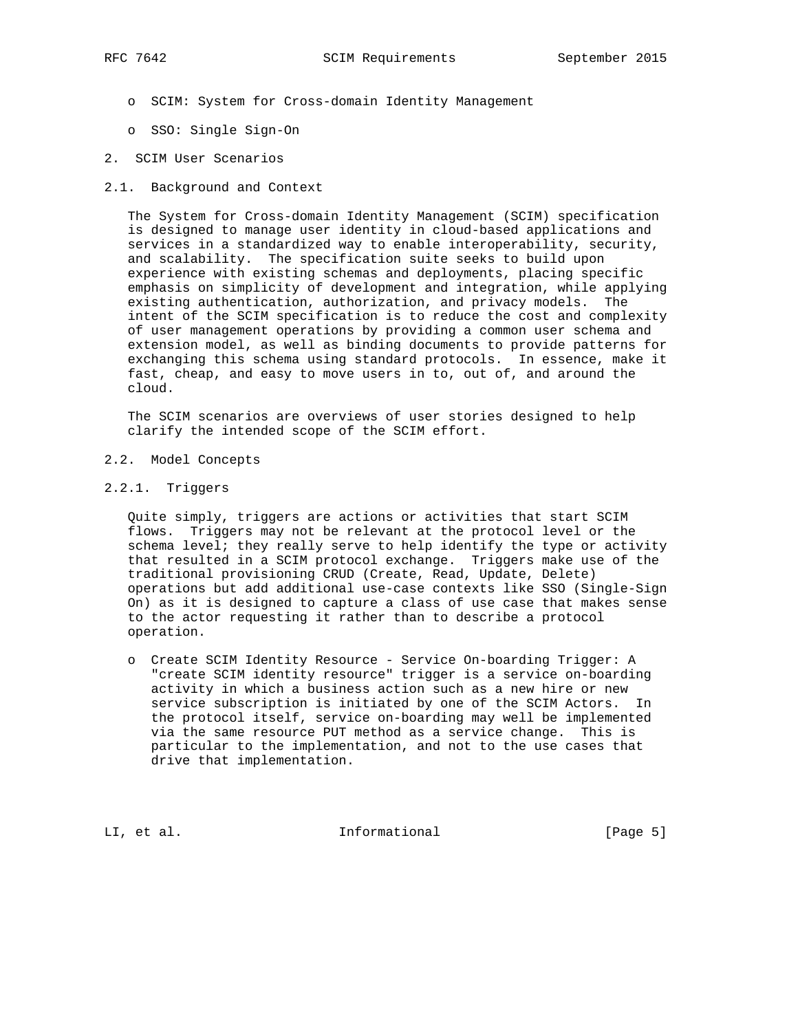- o SCIM: System for Cross-domain Identity Management
- o SSO: Single Sign-On
- 2. SCIM User Scenarios
- 2.1. Background and Context

 The System for Cross-domain Identity Management (SCIM) specification is designed to manage user identity in cloud-based applications and services in a standardized way to enable interoperability, security, and scalability. The specification suite seeks to build upon experience with existing schemas and deployments, placing specific emphasis on simplicity of development and integration, while applying existing authentication, authorization, and privacy models. The intent of the SCIM specification is to reduce the cost and complexity of user management operations by providing a common user schema and extension model, as well as binding documents to provide patterns for exchanging this schema using standard protocols. In essence, make it fast, cheap, and easy to move users in to, out of, and around the cloud.

 The SCIM scenarios are overviews of user stories designed to help clarify the intended scope of the SCIM effort.

- 2.2. Model Concepts
- 2.2.1. Triggers

 Quite simply, triggers are actions or activities that start SCIM flows. Triggers may not be relevant at the protocol level or the schema level; they really serve to help identify the type or activity that resulted in a SCIM protocol exchange. Triggers make use of the traditional provisioning CRUD (Create, Read, Update, Delete) operations but add additional use-case contexts like SSO (Single-Sign On) as it is designed to capture a class of use case that makes sense to the actor requesting it rather than to describe a protocol operation.

 o Create SCIM Identity Resource - Service On-boarding Trigger: A "create SCIM identity resource" trigger is a service on-boarding activity in which a business action such as a new hire or new service subscription is initiated by one of the SCIM Actors. In the protocol itself, service on-boarding may well be implemented via the same resource PUT method as a service change. This is particular to the implementation, and not to the use cases that drive that implementation.

LI, et al. Informational [Page 5]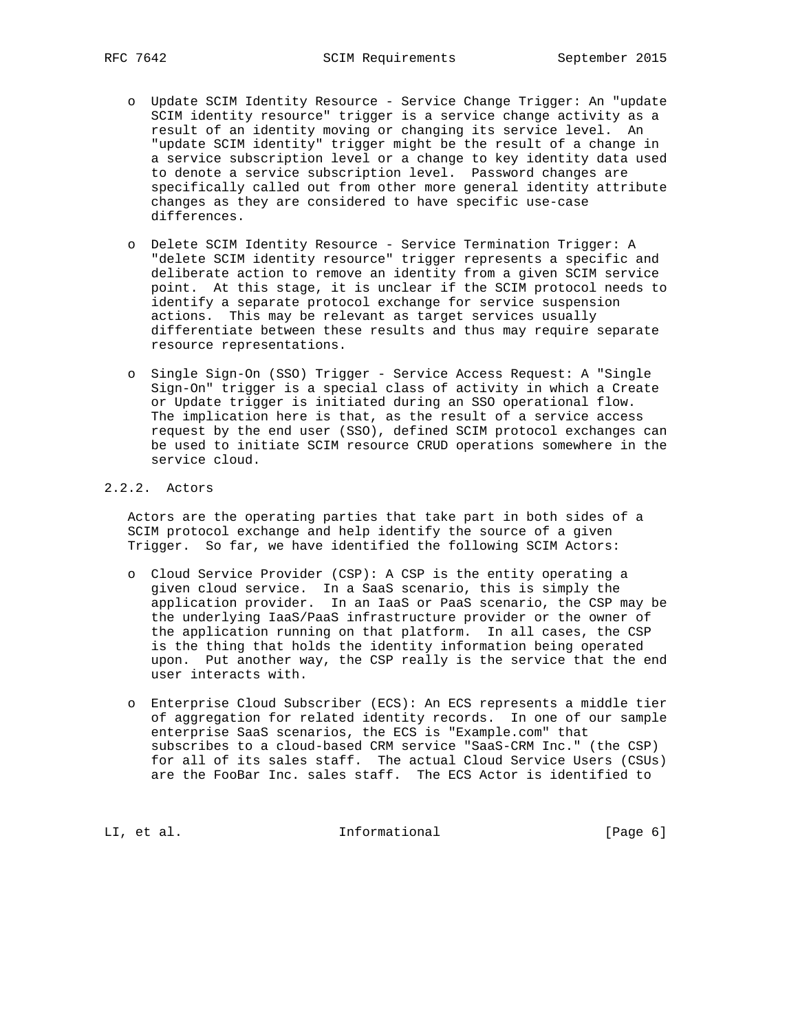- o Update SCIM Identity Resource Service Change Trigger: An "update SCIM identity resource" trigger is a service change activity as a result of an identity moving or changing its service level. An "update SCIM identity" trigger might be the result of a change in a service subscription level or a change to key identity data used to denote a service subscription level. Password changes are specifically called out from other more general identity attribute changes as they are considered to have specific use-case differences.
- o Delete SCIM Identity Resource Service Termination Trigger: A "delete SCIM identity resource" trigger represents a specific and deliberate action to remove an identity from a given SCIM service point. At this stage, it is unclear if the SCIM protocol needs to identify a separate protocol exchange for service suspension actions. This may be relevant as target services usually differentiate between these results and thus may require separate resource representations.
- o Single Sign-On (SSO) Trigger Service Access Request: A "Single Sign-On" trigger is a special class of activity in which a Create or Update trigger is initiated during an SSO operational flow. The implication here is that, as the result of a service access request by the end user (SSO), defined SCIM protocol exchanges can be used to initiate SCIM resource CRUD operations somewhere in the service cloud.

# 2.2.2. Actors

 Actors are the operating parties that take part in both sides of a SCIM protocol exchange and help identify the source of a given Trigger. So far, we have identified the following SCIM Actors:

- o Cloud Service Provider (CSP): A CSP is the entity operating a given cloud service. In a SaaS scenario, this is simply the application provider. In an IaaS or PaaS scenario, the CSP may be the underlying IaaS/PaaS infrastructure provider or the owner of the application running on that platform. In all cases, the CSP is the thing that holds the identity information being operated upon. Put another way, the CSP really is the service that the end user interacts with.
- o Enterprise Cloud Subscriber (ECS): An ECS represents a middle tier of aggregation for related identity records. In one of our sample enterprise SaaS scenarios, the ECS is "Example.com" that subscribes to a cloud-based CRM service "SaaS-CRM Inc." (the CSP) for all of its sales staff. The actual Cloud Service Users (CSUs) are the FooBar Inc. sales staff. The ECS Actor is identified to

LI, et al. 10 mm informational [Page 6]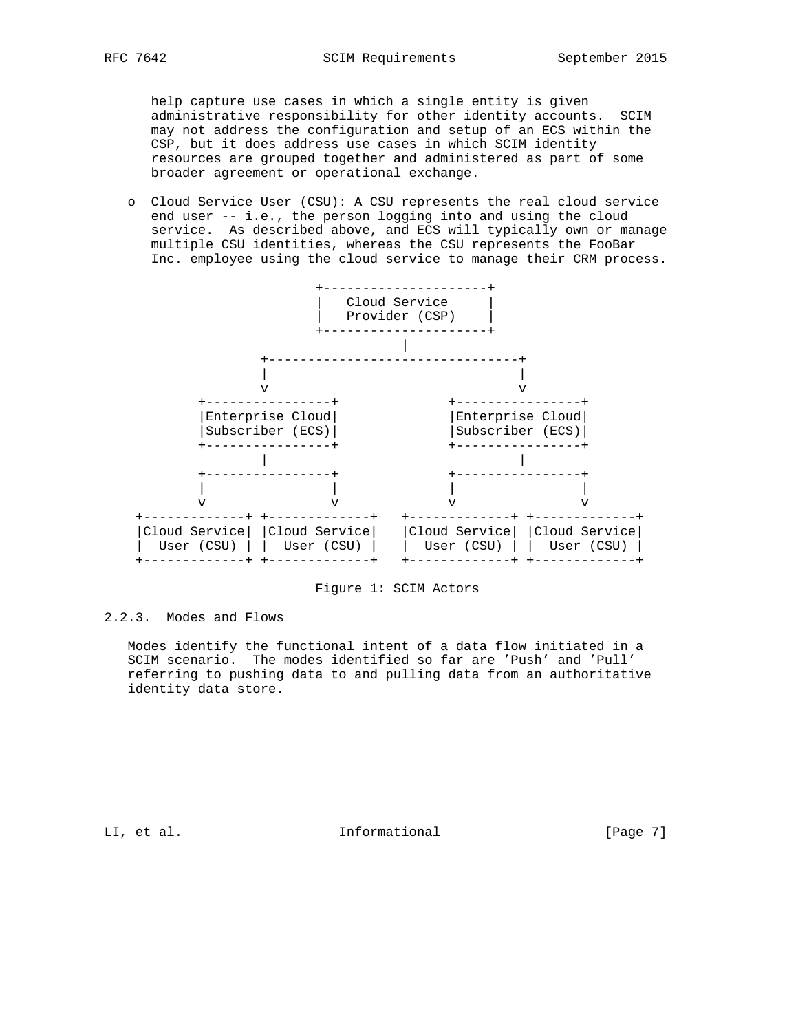help capture use cases in which a single entity is given administrative responsibility for other identity accounts. SCIM may not address the configuration and setup of an ECS within the CSP, but it does address use cases in which SCIM identity resources are grouped together and administered as part of some broader agreement or operational exchange.

 o Cloud Service User (CSU): A CSU represents the real cloud service end user -- i.e., the person logging into and using the cloud service. As described above, and ECS will typically own or manage multiple CSU identities, whereas the CSU represents the FooBar Inc. employee using the cloud service to manage their CRM process.



Figure 1: SCIM Actors

2.2.3. Modes and Flows

 Modes identify the functional intent of a data flow initiated in a SCIM scenario. The modes identified so far are 'Push' and 'Pull' referring to pushing data to and pulling data from an authoritative identity data store.

LI, et al. 10. Informational 1. [Page 7]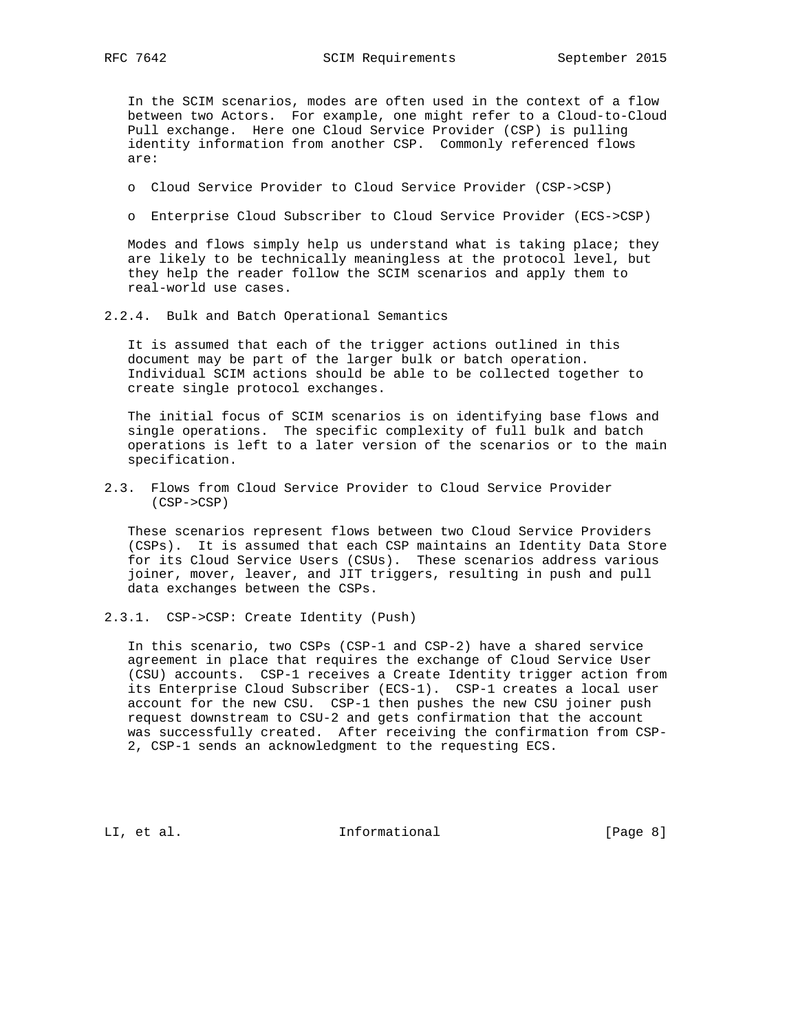In the SCIM scenarios, modes are often used in the context of a flow between two Actors. For example, one might refer to a Cloud-to-Cloud Pull exchange. Here one Cloud Service Provider (CSP) is pulling identity information from another CSP. Commonly referenced flows are:

- o Cloud Service Provider to Cloud Service Provider (CSP->CSP)
- o Enterprise Cloud Subscriber to Cloud Service Provider (ECS->CSP)

 Modes and flows simply help us understand what is taking place; they are likely to be technically meaningless at the protocol level, but they help the reader follow the SCIM scenarios and apply them to real-world use cases.

2.2.4. Bulk and Batch Operational Semantics

 It is assumed that each of the trigger actions outlined in this document may be part of the larger bulk or batch operation. Individual SCIM actions should be able to be collected together to create single protocol exchanges.

 The initial focus of SCIM scenarios is on identifying base flows and single operations. The specific complexity of full bulk and batch operations is left to a later version of the scenarios or to the main specification.

2.3. Flows from Cloud Service Provider to Cloud Service Provider (CSP->CSP)

 These scenarios represent flows between two Cloud Service Providers (CSPs). It is assumed that each CSP maintains an Identity Data Store for its Cloud Service Users (CSUs). These scenarios address various joiner, mover, leaver, and JIT triggers, resulting in push and pull data exchanges between the CSPs.

2.3.1. CSP->CSP: Create Identity (Push)

 In this scenario, two CSPs (CSP-1 and CSP-2) have a shared service agreement in place that requires the exchange of Cloud Service User (CSU) accounts. CSP-1 receives a Create Identity trigger action from its Enterprise Cloud Subscriber (ECS-1). CSP-1 creates a local user account for the new CSU. CSP-1 then pushes the new CSU joiner push request downstream to CSU-2 and gets confirmation that the account was successfully created. After receiving the confirmation from CSP- 2, CSP-1 sends an acknowledgment to the requesting ECS.

LI, et al. 10. Informational 1. The league 8]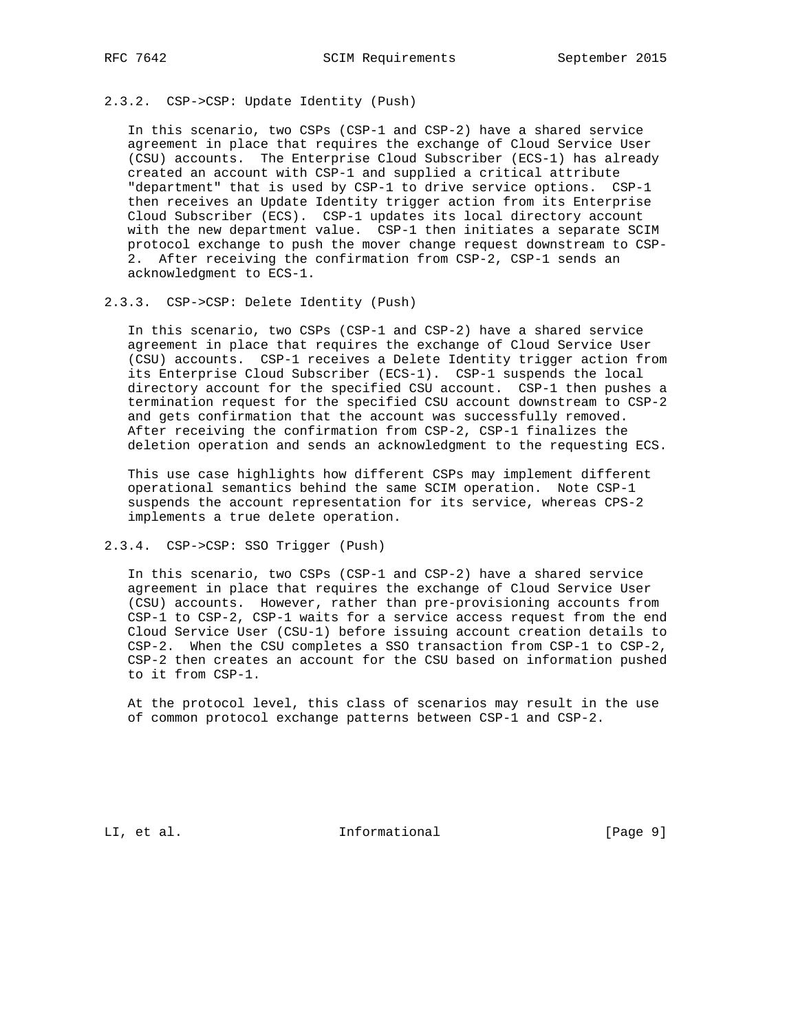# 2.3.2. CSP->CSP: Update Identity (Push)

 In this scenario, two CSPs (CSP-1 and CSP-2) have a shared service agreement in place that requires the exchange of Cloud Service User (CSU) accounts. The Enterprise Cloud Subscriber (ECS-1) has already created an account with CSP-1 and supplied a critical attribute "department" that is used by CSP-1 to drive service options. CSP-1 then receives an Update Identity trigger action from its Enterprise Cloud Subscriber (ECS). CSP-1 updates its local directory account with the new department value. CSP-1 then initiates a separate SCIM protocol exchange to push the mover change request downstream to CSP- 2. After receiving the confirmation from CSP-2, CSP-1 sends an acknowledgment to ECS-1.

#### 2.3.3. CSP->CSP: Delete Identity (Push)

 In this scenario, two CSPs (CSP-1 and CSP-2) have a shared service agreement in place that requires the exchange of Cloud Service User (CSU) accounts. CSP-1 receives a Delete Identity trigger action from its Enterprise Cloud Subscriber (ECS-1). CSP-1 suspends the local directory account for the specified CSU account. CSP-1 then pushes a termination request for the specified CSU account downstream to CSP-2 and gets confirmation that the account was successfully removed. After receiving the confirmation from CSP-2, CSP-1 finalizes the deletion operation and sends an acknowledgment to the requesting ECS.

 This use case highlights how different CSPs may implement different operational semantics behind the same SCIM operation. Note CSP-1 suspends the account representation for its service, whereas CPS-2 implements a true delete operation.

# 2.3.4. CSP->CSP: SSO Trigger (Push)

 In this scenario, two CSPs (CSP-1 and CSP-2) have a shared service agreement in place that requires the exchange of Cloud Service User (CSU) accounts. However, rather than pre-provisioning accounts from CSP-1 to CSP-2, CSP-1 waits for a service access request from the end Cloud Service User (CSU-1) before issuing account creation details to CSP-2. When the CSU completes a SSO transaction from CSP-1 to CSP-2, CSP-2 then creates an account for the CSU based on information pushed to it from CSP-1.

 At the protocol level, this class of scenarios may result in the use of common protocol exchange patterns between CSP-1 and CSP-2.

LI, et al. 10. Informational 1. [Page 9]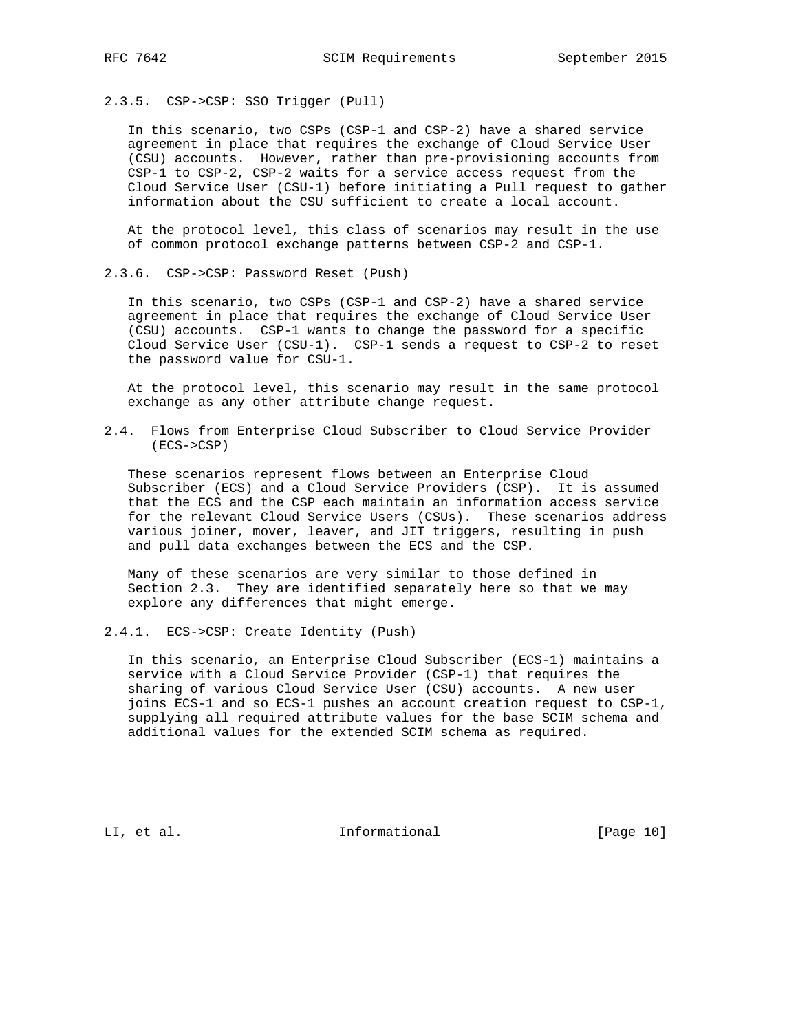2.3.5. CSP->CSP: SSO Trigger (Pull)

 In this scenario, two CSPs (CSP-1 and CSP-2) have a shared service agreement in place that requires the exchange of Cloud Service User (CSU) accounts. However, rather than pre-provisioning accounts from CSP-1 to CSP-2, CSP-2 waits for a service access request from the Cloud Service User (CSU-1) before initiating a Pull request to gather information about the CSU sufficient to create a local account.

 At the protocol level, this class of scenarios may result in the use of common protocol exchange patterns between CSP-2 and CSP-1.

2.3.6. CSP->CSP: Password Reset (Push)

 In this scenario, two CSPs (CSP-1 and CSP-2) have a shared service agreement in place that requires the exchange of Cloud Service User (CSU) accounts. CSP-1 wants to change the password for a specific Cloud Service User (CSU-1). CSP-1 sends a request to CSP-2 to reset the password value for CSU-1.

 At the protocol level, this scenario may result in the same protocol exchange as any other attribute change request.

2.4. Flows from Enterprise Cloud Subscriber to Cloud Service Provider (ECS->CSP)

 These scenarios represent flows between an Enterprise Cloud Subscriber (ECS) and a Cloud Service Providers (CSP). It is assumed that the ECS and the CSP each maintain an information access service for the relevant Cloud Service Users (CSUs). These scenarios address various joiner, mover, leaver, and JIT triggers, resulting in push and pull data exchanges between the ECS and the CSP.

 Many of these scenarios are very similar to those defined in Section 2.3. They are identified separately here so that we may explore any differences that might emerge.

2.4.1. ECS->CSP: Create Identity (Push)

 In this scenario, an Enterprise Cloud Subscriber (ECS-1) maintains a service with a Cloud Service Provider (CSP-1) that requires the sharing of various Cloud Service User (CSU) accounts. A new user joins ECS-1 and so ECS-1 pushes an account creation request to CSP-1, supplying all required attribute values for the base SCIM schema and additional values for the extended SCIM schema as required.

LI, et al. 10. Informational [Page 10]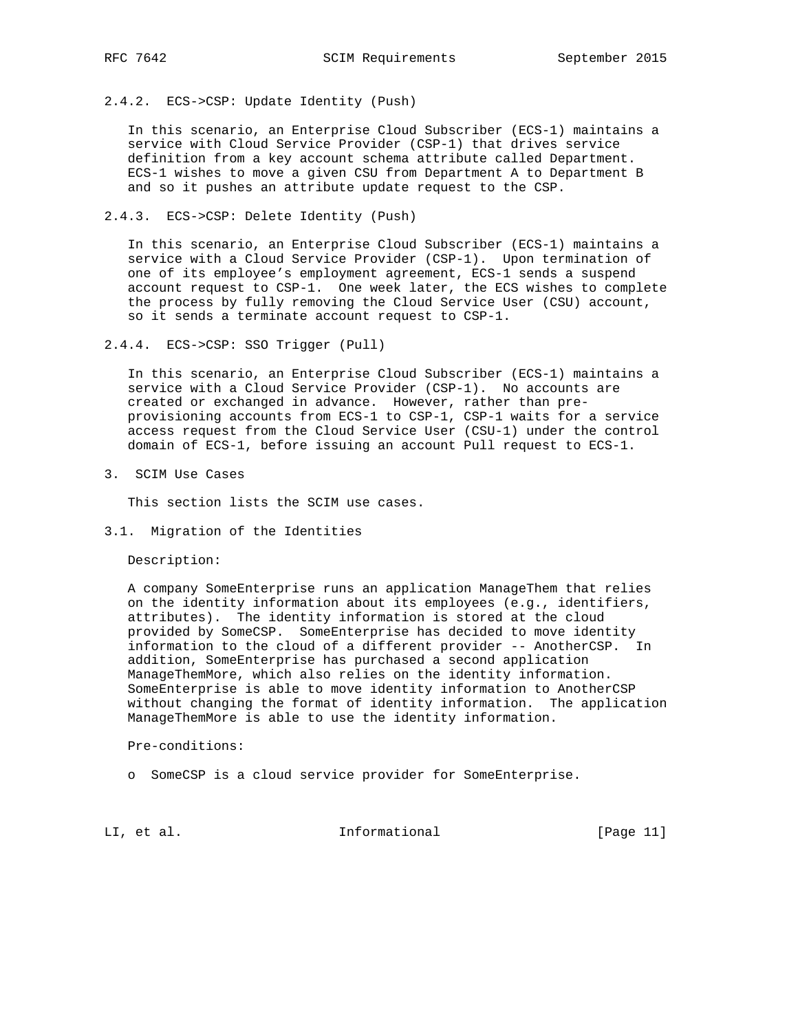# 2.4.2. ECS->CSP: Update Identity (Push)

 In this scenario, an Enterprise Cloud Subscriber (ECS-1) maintains a service with Cloud Service Provider (CSP-1) that drives service definition from a key account schema attribute called Department. ECS-1 wishes to move a given CSU from Department A to Department B and so it pushes an attribute update request to the CSP.

## 2.4.3. ECS->CSP: Delete Identity (Push)

 In this scenario, an Enterprise Cloud Subscriber (ECS-1) maintains a service with a Cloud Service Provider (CSP-1). Upon termination of one of its employee's employment agreement, ECS-1 sends a suspend account request to CSP-1. One week later, the ECS wishes to complete the process by fully removing the Cloud Service User (CSU) account, so it sends a terminate account request to CSP-1.

2.4.4. ECS->CSP: SSO Trigger (Pull)

 In this scenario, an Enterprise Cloud Subscriber (ECS-1) maintains a service with a Cloud Service Provider (CSP-1). No accounts are created or exchanged in advance. However, rather than pre provisioning accounts from ECS-1 to CSP-1, CSP-1 waits for a service access request from the Cloud Service User (CSU-1) under the control domain of ECS-1, before issuing an account Pull request to ECS-1.

3. SCIM Use Cases

This section lists the SCIM use cases.

3.1. Migration of the Identities

Description:

 A company SomeEnterprise runs an application ManageThem that relies on the identity information about its employees (e.g., identifiers, attributes). The identity information is stored at the cloud provided by SomeCSP. SomeEnterprise has decided to move identity information to the cloud of a different provider -- AnotherCSP. In addition, SomeEnterprise has purchased a second application ManageThemMore, which also relies on the identity information. SomeEnterprise is able to move identity information to AnotherCSP without changing the format of identity information. The application ManageThemMore is able to use the identity information.

Pre-conditions:

o SomeCSP is a cloud service provider for SomeEnterprise.

LI, et al. 10. Informational [Page 11]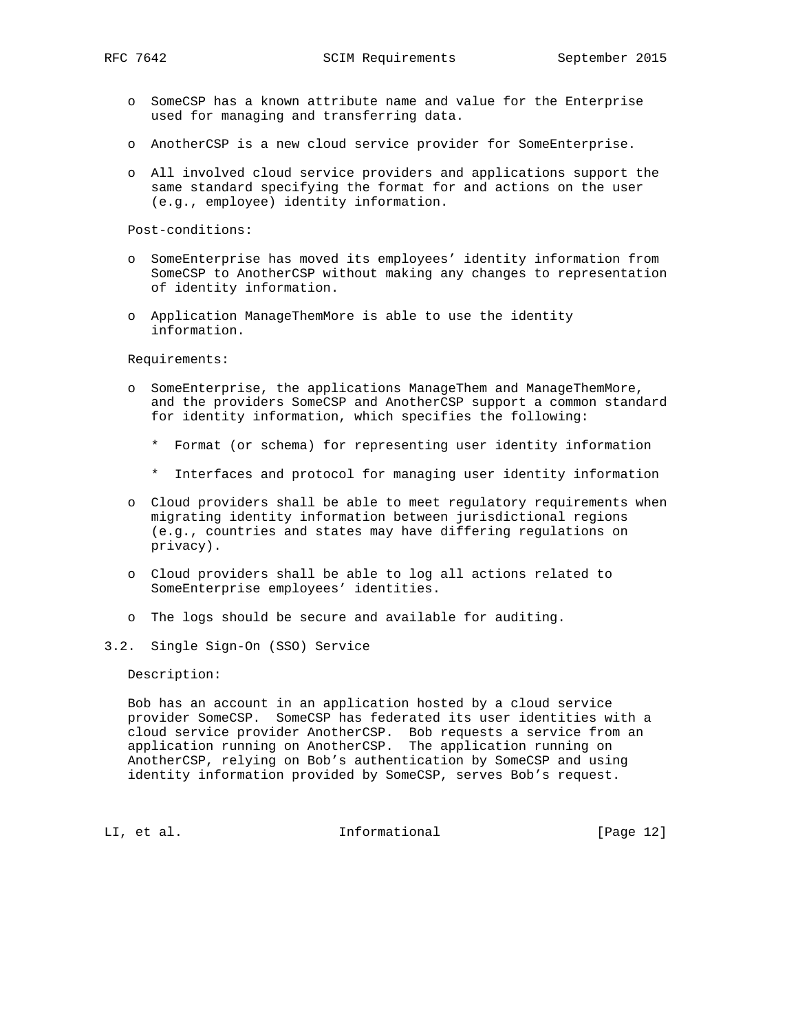- o SomeCSP has a known attribute name and value for the Enterprise used for managing and transferring data.
- o AnotherCSP is a new cloud service provider for SomeEnterprise.
- o All involved cloud service providers and applications support the same standard specifying the format for and actions on the user (e.g., employee) identity information.

Post-conditions:

- o SomeEnterprise has moved its employees' identity information from SomeCSP to AnotherCSP without making any changes to representation of identity information.
- o Application ManageThemMore is able to use the identity information.

Requirements:

- o SomeEnterprise, the applications ManageThem and ManageThemMore, and the providers SomeCSP and AnotherCSP support a common standard for identity information, which specifies the following:
	- \* Format (or schema) for representing user identity information
	- \* Interfaces and protocol for managing user identity information
- o Cloud providers shall be able to meet regulatory requirements when migrating identity information between jurisdictional regions (e.g., countries and states may have differing regulations on privacy).
- o Cloud providers shall be able to log all actions related to SomeEnterprise employees' identities.
- o The logs should be secure and available for auditing.
- 3.2. Single Sign-On (SSO) Service

Description:

 Bob has an account in an application hosted by a cloud service provider SomeCSP. SomeCSP has federated its user identities with a cloud service provider AnotherCSP. Bob requests a service from an application running on AnotherCSP. The application running on AnotherCSP, relying on Bob's authentication by SomeCSP and using identity information provided by SomeCSP, serves Bob's request.

LI, et al. 10. Informational [Page 12]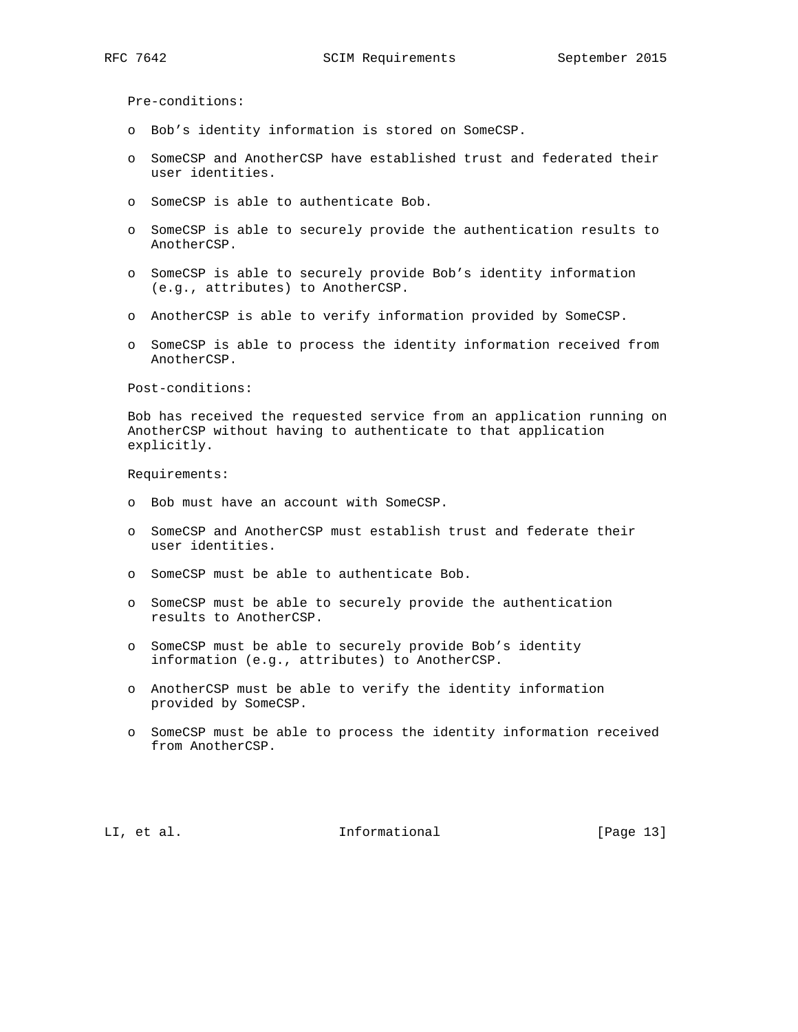Pre-conditions:

- o Bob's identity information is stored on SomeCSP.
- o SomeCSP and AnotherCSP have established trust and federated their user identities.
- o SomeCSP is able to authenticate Bob.
- o SomeCSP is able to securely provide the authentication results to AnotherCSP.
- o SomeCSP is able to securely provide Bob's identity information (e.g., attributes) to AnotherCSP.
- o AnotherCSP is able to verify information provided by SomeCSP.
- o SomeCSP is able to process the identity information received from AnotherCSP.

Post-conditions:

 Bob has received the requested service from an application running on AnotherCSP without having to authenticate to that application explicitly.

Requirements:

- o Bob must have an account with SomeCSP.
- o SomeCSP and AnotherCSP must establish trust and federate their user identities.
- o SomeCSP must be able to authenticate Bob.
- o SomeCSP must be able to securely provide the authentication results to AnotherCSP.
- o SomeCSP must be able to securely provide Bob's identity information (e.g., attributes) to AnotherCSP.
- o AnotherCSP must be able to verify the identity information provided by SomeCSP.
- o SomeCSP must be able to process the identity information received from AnotherCSP.

LI, et al. Informational [Page 13]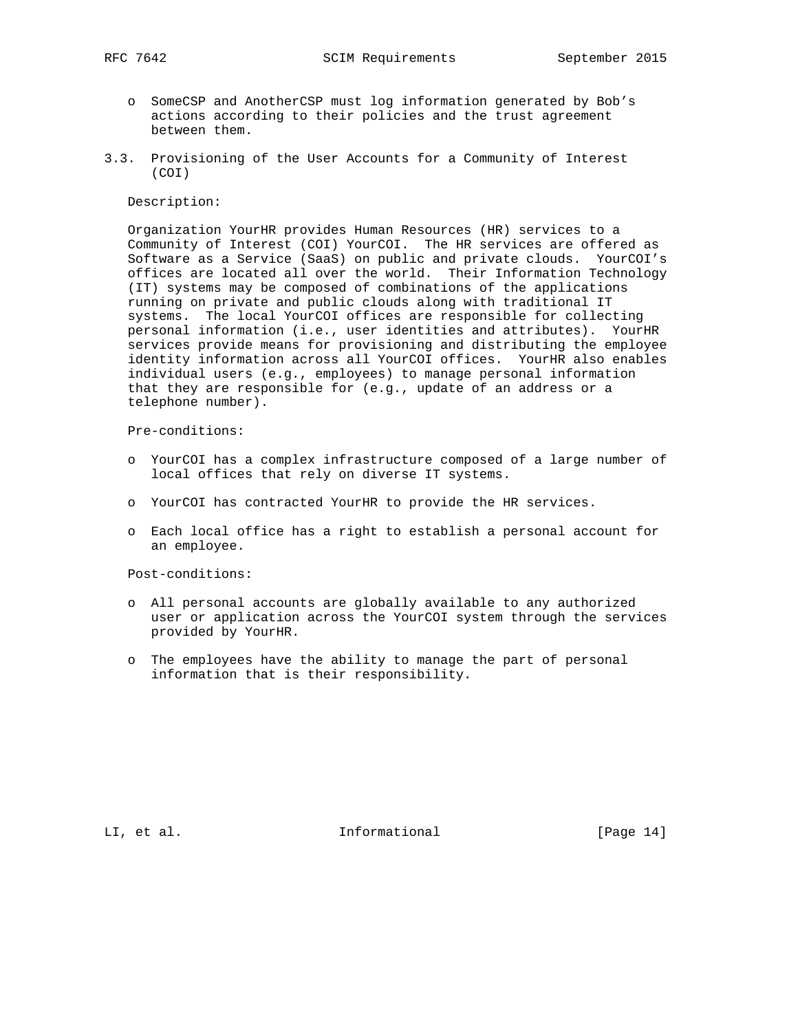- o SomeCSP and AnotherCSP must log information generated by Bob's actions according to their policies and the trust agreement between them.
- 3.3. Provisioning of the User Accounts for a Community of Interest (COI)

#### Description:

 Organization YourHR provides Human Resources (HR) services to a Community of Interest (COI) YourCOI. The HR services are offered as Software as a Service (SaaS) on public and private clouds. YourCOI's offices are located all over the world. Their Information Technology (IT) systems may be composed of combinations of the applications running on private and public clouds along with traditional IT systems. The local YourCOI offices are responsible for collecting personal information (i.e., user identities and attributes). YourHR services provide means for provisioning and distributing the employee identity information across all YourCOI offices. YourHR also enables individual users (e.g., employees) to manage personal information that they are responsible for (e.g., update of an address or a telephone number).

Pre-conditions:

- o YourCOI has a complex infrastructure composed of a large number of local offices that rely on diverse IT systems.
- o YourCOI has contracted YourHR to provide the HR services.
- o Each local office has a right to establish a personal account for an employee.

Post-conditions:

- o All personal accounts are globally available to any authorized user or application across the YourCOI system through the services provided by YourHR.
- o The employees have the ability to manage the part of personal information that is their responsibility.

LI, et al. Informational [Page 14]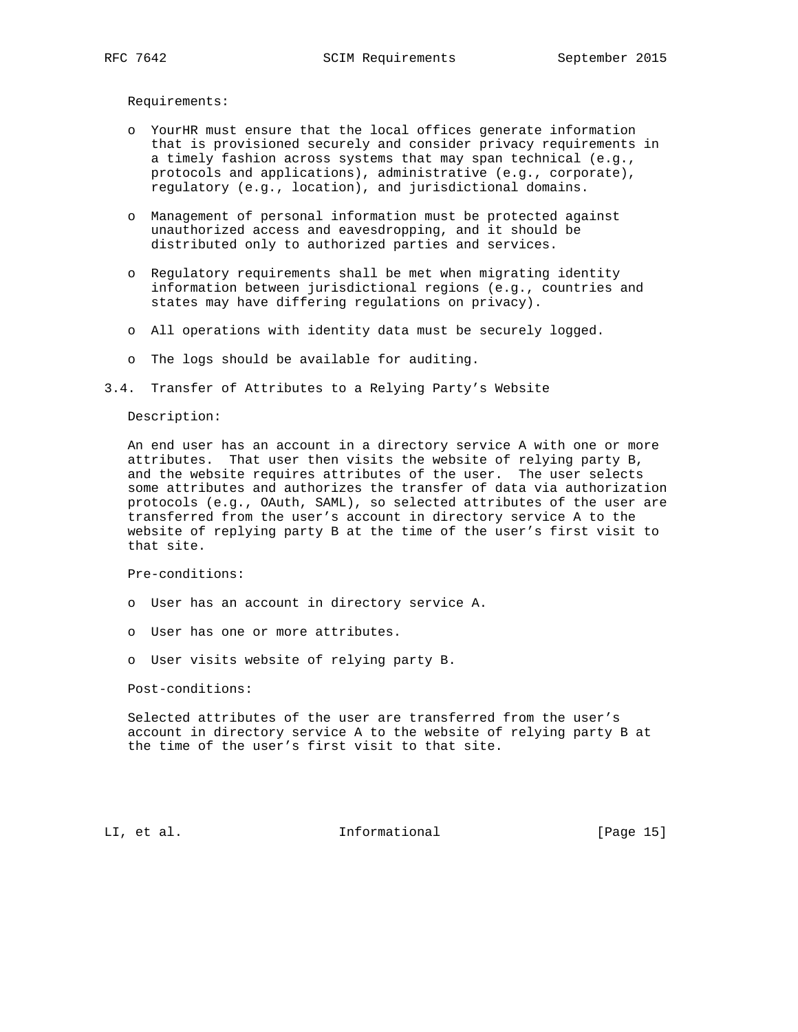Requirements:

- o YourHR must ensure that the local offices generate information that is provisioned securely and consider privacy requirements in a timely fashion across systems that may span technical (e.g., protocols and applications), administrative (e.g., corporate), regulatory (e.g., location), and jurisdictional domains.
- o Management of personal information must be protected against unauthorized access and eavesdropping, and it should be distributed only to authorized parties and services.
- o Regulatory requirements shall be met when migrating identity information between jurisdictional regions (e.g., countries and states may have differing regulations on privacy).
- o All operations with identity data must be securely logged.
- o The logs should be available for auditing.
- 3.4. Transfer of Attributes to a Relying Party's Website

#### Description:

 An end user has an account in a directory service A with one or more attributes. That user then visits the website of relying party B, and the website requires attributes of the user. The user selects some attributes and authorizes the transfer of data via authorization protocols (e.g., OAuth, SAML), so selected attributes of the user are transferred from the user's account in directory service A to the website of replying party B at the time of the user's first visit to that site.

Pre-conditions:

- o User has an account in directory service A.
- o User has one or more attributes.
- o User visits website of relying party B.

Post-conditions:

 Selected attributes of the user are transferred from the user's account in directory service A to the website of relying party B at the time of the user's first visit to that site.

LI, et al. Informational [Page 15]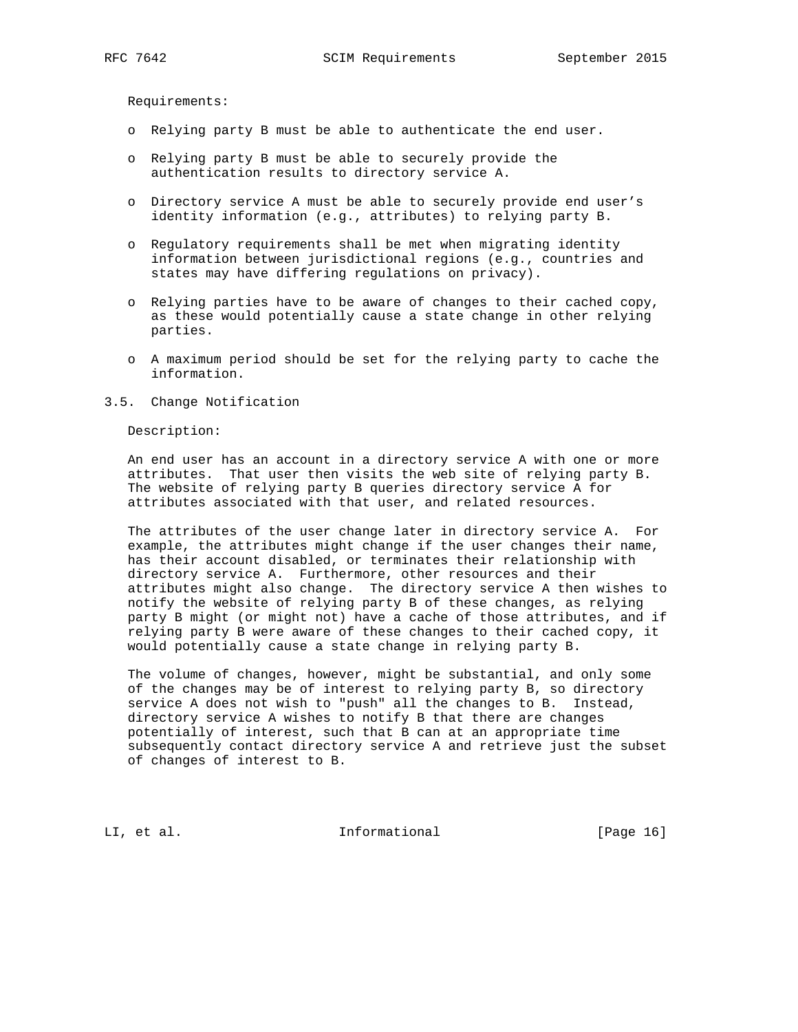Requirements:

- o Relying party B must be able to authenticate the end user.
- o Relying party B must be able to securely provide the authentication results to directory service A.
- o Directory service A must be able to securely provide end user's identity information (e.g., attributes) to relying party B.
- o Regulatory requirements shall be met when migrating identity information between jurisdictional regions (e.g., countries and states may have differing regulations on privacy).
- o Relying parties have to be aware of changes to their cached copy, as these would potentially cause a state change in other relying parties.
- o A maximum period should be set for the relying party to cache the information.
- 3.5. Change Notification

Description:

 An end user has an account in a directory service A with one or more attributes. That user then visits the web site of relying party B. The website of relying party B queries directory service A for attributes associated with that user, and related resources.

 The attributes of the user change later in directory service A. For example, the attributes might change if the user changes their name, has their account disabled, or terminates their relationship with directory service A. Furthermore, other resources and their attributes might also change. The directory service A then wishes to notify the website of relying party B of these changes, as relying party B might (or might not) have a cache of those attributes, and if relying party B were aware of these changes to their cached copy, it would potentially cause a state change in relying party B.

 The volume of changes, however, might be substantial, and only some of the changes may be of interest to relying party B, so directory service A does not wish to "push" all the changes to B. Instead, directory service A wishes to notify B that there are changes potentially of interest, such that B can at an appropriate time subsequently contact directory service A and retrieve just the subset of changes of interest to B.

LI, et al. 10. Informational [Page 16]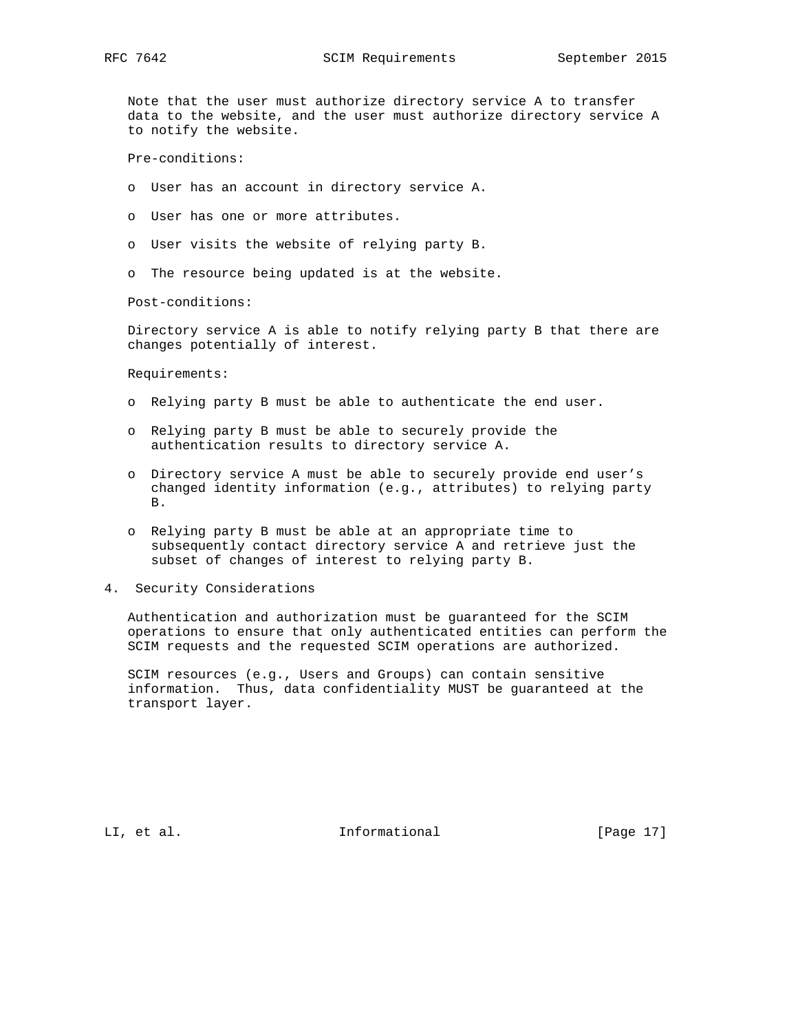Note that the user must authorize directory service A to transfer data to the website, and the user must authorize directory service A to notify the website.

Pre-conditions:

- o User has an account in directory service A.
- o User has one or more attributes.
- o User visits the website of relying party B.
- o The resource being updated is at the website.

Post-conditions:

 Directory service A is able to notify relying party B that there are changes potentially of interest.

Requirements:

- o Relying party B must be able to authenticate the end user.
- o Relying party B must be able to securely provide the authentication results to directory service A.
- o Directory service A must be able to securely provide end user's changed identity information (e.g., attributes) to relying party B.
- o Relying party B must be able at an appropriate time to subsequently contact directory service A and retrieve just the subset of changes of interest to relying party B.
- 4. Security Considerations

 Authentication and authorization must be guaranteed for the SCIM operations to ensure that only authenticated entities can perform the SCIM requests and the requested SCIM operations are authorized.

 SCIM resources (e.g., Users and Groups) can contain sensitive information. Thus, data confidentiality MUST be guaranteed at the transport layer.

LI, et al. 10. Informational [Page 17]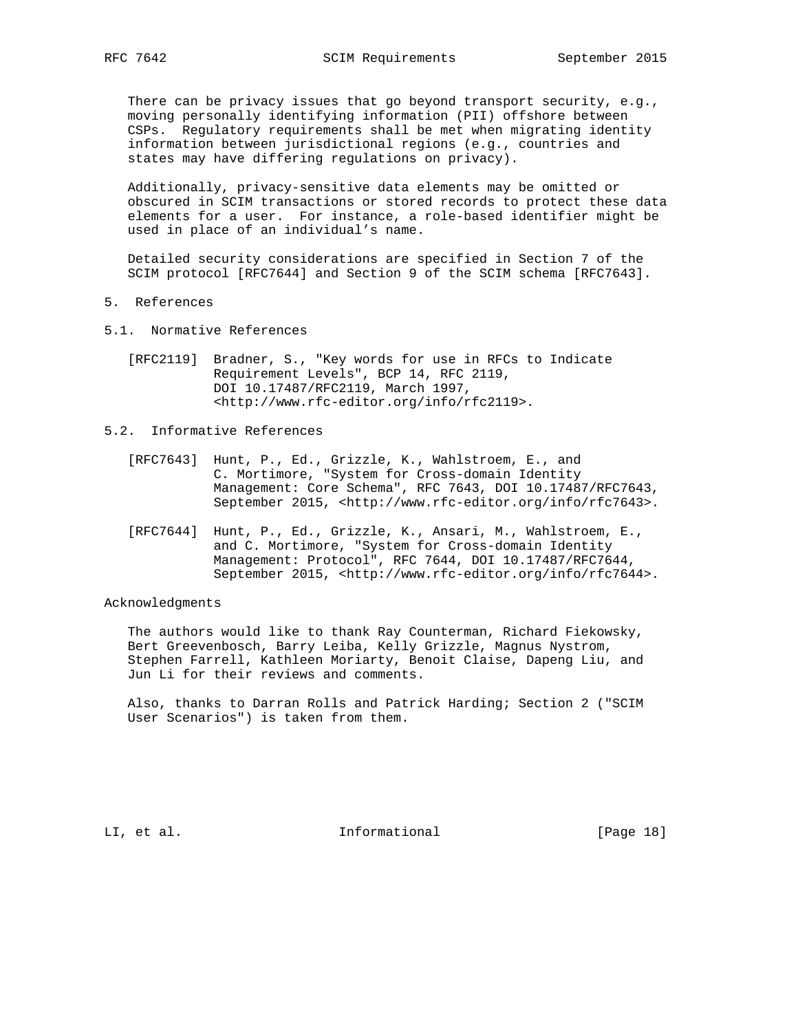There can be privacy issues that go beyond transport security, e.g., moving personally identifying information (PII) offshore between CSPs. Regulatory requirements shall be met when migrating identity information between jurisdictional regions (e.g., countries and states may have differing regulations on privacy).

 Additionally, privacy-sensitive data elements may be omitted or obscured in SCIM transactions or stored records to protect these data elements for a user. For instance, a role-based identifier might be used in place of an individual's name.

 Detailed security considerations are specified in Section 7 of the SCIM protocol [RFC7644] and Section 9 of the SCIM schema [RFC7643].

- 5. References
- 5.1. Normative References
	- [RFC2119] Bradner, S., "Key words for use in RFCs to Indicate Requirement Levels", BCP 14, RFC 2119, DOI 10.17487/RFC2119, March 1997, <http://www.rfc-editor.org/info/rfc2119>.
- 5.2. Informative References
	- [RFC7643] Hunt, P., Ed., Grizzle, K., Wahlstroem, E., and C. Mortimore, "System for Cross-domain Identity Management: Core Schema", RFC 7643, DOI 10.17487/RFC7643, September 2015, <http://www.rfc-editor.org/info/rfc7643>.
	- [RFC7644] Hunt, P., Ed., Grizzle, K., Ansari, M., Wahlstroem, E., and C. Mortimore, "System for Cross-domain Identity Management: Protocol", RFC 7644, DOI 10.17487/RFC7644, September 2015, <http://www.rfc-editor.org/info/rfc7644>.

#### Acknowledgments

 The authors would like to thank Ray Counterman, Richard Fiekowsky, Bert Greevenbosch, Barry Leiba, Kelly Grizzle, Magnus Nystrom, Stephen Farrell, Kathleen Moriarty, Benoit Claise, Dapeng Liu, and Jun Li for their reviews and comments.

 Also, thanks to Darran Rolls and Patrick Harding; Section 2 ("SCIM User Scenarios") is taken from them.

LI, et al. 10. Informational [Page 18]